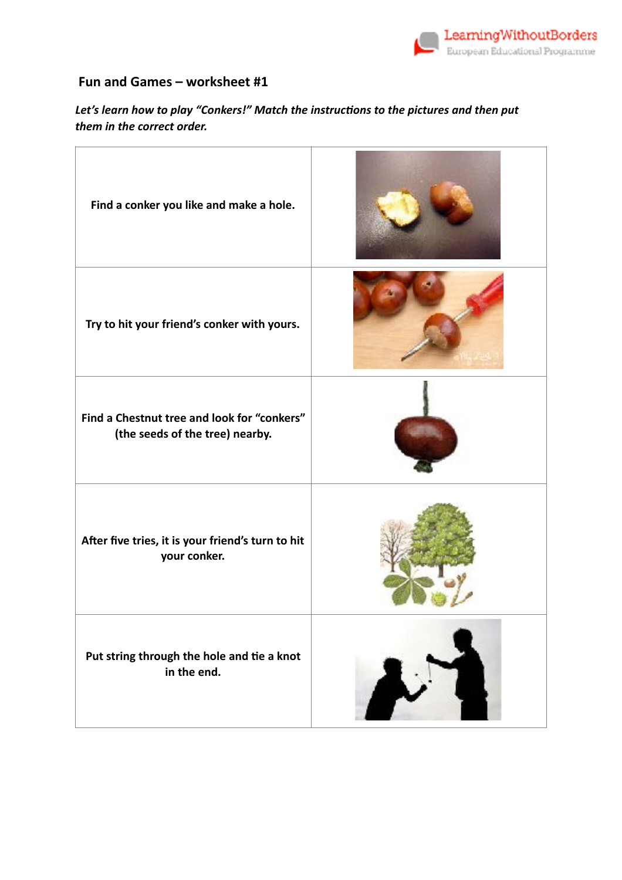

## **Fun and Games – worksheet #1**

Let's learn how to play "Conkers!" Match the instructions to the pictures and then put *them in the correct order.* 

| Find a conker you like and make a hole.                                        |  |
|--------------------------------------------------------------------------------|--|
| Try to hit your friend's conker with yours.                                    |  |
| Find a Chestnut tree and look for "conkers"<br>(the seeds of the tree) nearby. |  |
| After five tries, it is your friend's turn to hit<br>your conker.              |  |
| Put string through the hole and tie a knot<br>in the end.                      |  |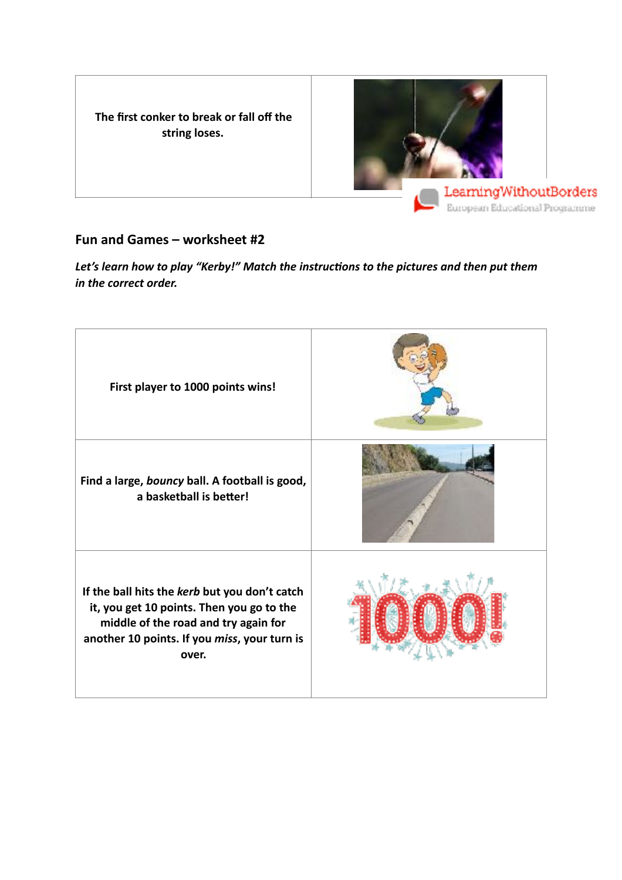**The first conker to break or fall off the string loses.**



## **Fun and Games – worksheet #2**

Let's learn how to play "Kerby!" Match the instructions to the pictures and then put them *in the correct order.* 

| First player to 1000 points wins!                                                                                                                                                           |  |
|---------------------------------------------------------------------------------------------------------------------------------------------------------------------------------------------|--|
| Find a large, bouncy ball. A football is good,<br>a basketball is better!                                                                                                                   |  |
| If the ball hits the kerb but you don't catch<br>it, you get 10 points. Then you go to the<br>middle of the road and try again for<br>another 10 points. If you miss, your turn is<br>over. |  |